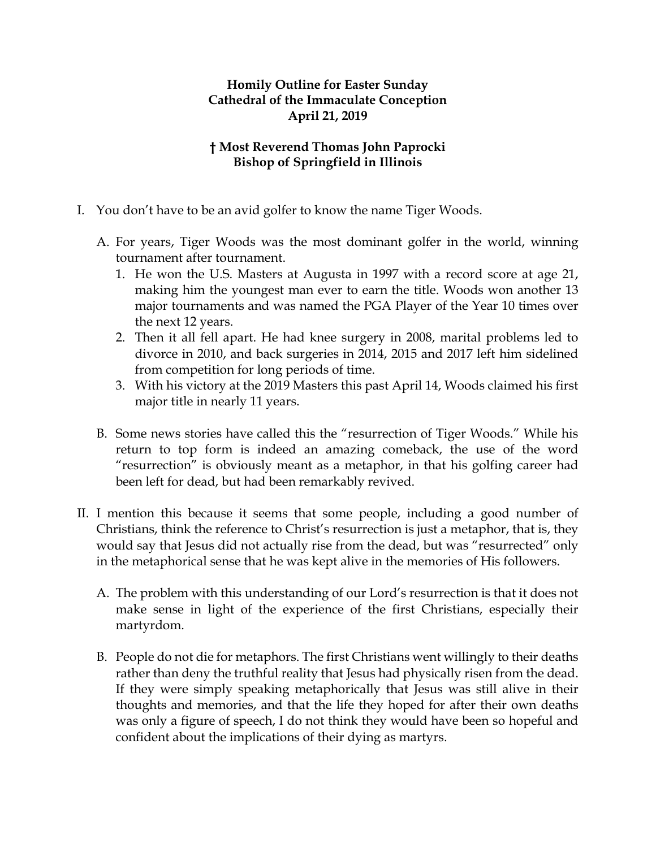## **Homily Outline for Easter Sunday Cathedral of the Immaculate Conception April 21, 2019**

## **† Most Reverend Thomas John Paprocki Bishop of Springfield in Illinois**

- I. You don't have to be an avid golfer to know the name Tiger Woods.
	- A. For years, Tiger Woods was the most dominant golfer in the world, winning tournament after tournament.
		- 1. He won the U.S. Masters at Augusta in 1997 with a record score at age 21, making him the youngest man ever to earn the title. Woods won another 13 major tournaments and was named the PGA Player of the Year 10 times over the next 12 years.
		- 2. Then it all fell apart. He had knee surgery in 2008, marital problems led to divorce in 2010, and back surgeries in 2014, 2015 and 2017 left him sidelined from competition for long periods of time.
		- 3. With his victory at the 2019 Masters this past April 14, Woods claimed his first major title in nearly 11 years.
	- B. Some news stories have called this the "resurrection of Tiger Woods." While his return to top form is indeed an amazing comeback, the use of the word "resurrection" is obviously meant as a metaphor, in that his golfing career had been left for dead, but had been remarkably revived.
- II. I mention this because it seems that some people, including a good number of Christians, think the reference to Christ's resurrection is just a metaphor, that is, they would say that Jesus did not actually rise from the dead, but was "resurrected" only in the metaphorical sense that he was kept alive in the memories of His followers.
	- A. The problem with this understanding of our Lord's resurrection is that it does not make sense in light of the experience of the first Christians, especially their martyrdom.
	- B. People do not die for metaphors. The first Christians went willingly to their deaths rather than deny the truthful reality that Jesus had physically risen from the dead. If they were simply speaking metaphorically that Jesus was still alive in their thoughts and memories, and that the life they hoped for after their own deaths was only a figure of speech, I do not think they would have been so hopeful and confident about the implications of their dying as martyrs.